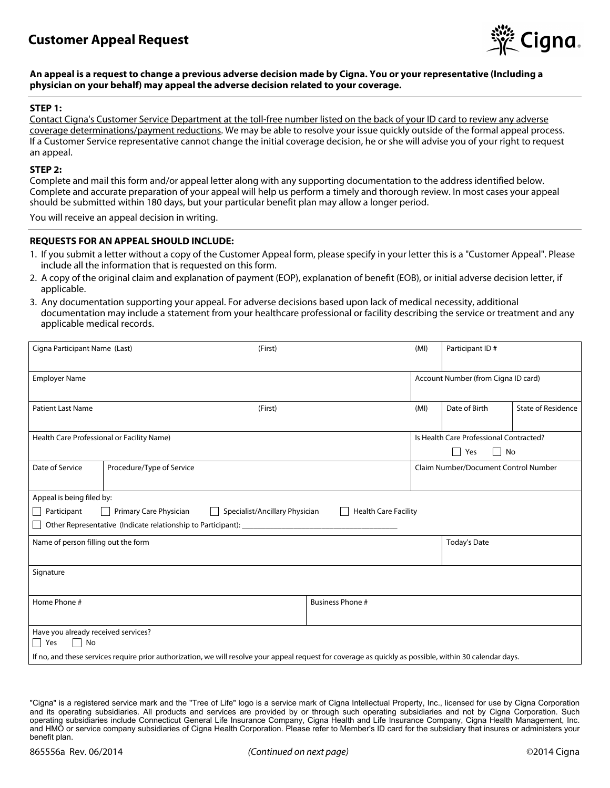

### **An appeal is a request to change a previous adverse decision made by Cigna. You or your representative (Including a physician on your behalf) may appeal the adverse decision related to your coverage.**

### **STEP 1:**

Contact Cigna's Customer Service Department at the toll-free number listed on the back of your ID card to review any adverse coverage determinations/payment reductions. We may be able to resolve your issue quickly outside of the formal appeal process. If a Customer Service representative cannot change the initial coverage decision, he or she will advise you of your right to request an appeal.

#### **STEP 2:**

Complete and mail this form and/or appeal letter along with any supporting documentation to the address identified below. Complete and accurate preparation of your appeal will help us perform a timely and thorough review. In most cases your appeal should be submitted within 180 days, but your particular benefit plan may allow a longer period.

You will receive an appeal decision in writing.

### **REQUESTS FOR AN APPEAL SHOULD INCLUDE:**

- 1. If you submit a letter without a copy of the Customer Appeal form, please specify in your letter this is a "Customer Appeal". Please include all the information that is requested on this form.
- 2. A copy of the original claim and explanation of payment (EOP), explanation of benefit (EOB), or initial adverse decision letter, if applicable.
- 3. Any documentation supporting your appeal. For adverse decisions based upon lack of medical necessity, additional documentation may include a statement from your healthcare professional or facility describing the service or treatment and any applicable medical records.

| Cigna Participant Name (Last)                                                                                                                            |                           | (First) |                                         |                                     | Participant ID#                      |  |  |  |
|----------------------------------------------------------------------------------------------------------------------------------------------------------|---------------------------|---------|-----------------------------------------|-------------------------------------|--------------------------------------|--|--|--|
| <b>Employer Name</b>                                                                                                                                     |                           |         |                                         | Account Number (from Cigna ID card) |                                      |  |  |  |
| <b>Patient Last Name</b><br>(First)                                                                                                                      |                           |         | (MI)                                    | Date of Birth                       | <b>State of Residence</b>            |  |  |  |
| Health Care Professional or Facility Name)                                                                                                               |                           |         | Is Health Care Professional Contracted? |                                     |                                      |  |  |  |
|                                                                                                                                                          |                           |         |                                         |                                     | No<br>$\Box$<br>Yes                  |  |  |  |
| Date of Service                                                                                                                                          | Procedure/Type of Service |         |                                         |                                     | Claim Number/Document Control Number |  |  |  |
| Appeal is being filed by:                                                                                                                                |                           |         |                                         |                                     |                                      |  |  |  |
| Participant<br>Primary Care Physician<br>Specialist/Ancillary Physician<br><b>Health Care Facility</b><br>$\mathbf{I}$                                   |                           |         |                                         |                                     |                                      |  |  |  |
| Other Representative (Indicate relationship to Participant): ____________________                                                                        |                           |         |                                         |                                     |                                      |  |  |  |
| Name of person filling out the form                                                                                                                      |                           |         |                                         |                                     | <b>Today's Date</b>                  |  |  |  |
| Signature                                                                                                                                                |                           |         |                                         |                                     |                                      |  |  |  |
| Home Phone #                                                                                                                                             |                           |         | <b>Business Phone #</b>                 |                                     |                                      |  |  |  |
| Have you already received services?<br>$\Box$ Yes<br>$\Box$ No                                                                                           |                           |         |                                         |                                     |                                      |  |  |  |
| If no, and these services require prior authorization, we will resolve your appeal request for coverage as quickly as possible, within 30 calendar days. |                           |         |                                         |                                     |                                      |  |  |  |
|                                                                                                                                                          |                           |         |                                         |                                     |                                      |  |  |  |

<sup>&</sup>quot;Cigna" is a registered service mark and the "Tree of Life" logo is a service mark of Cigna Intellectual Property, Inc., licensed for use by Cigna Corporation and its operating subsidiaries. All products and services are provided by or through such operating subsidiaries and not by Cigna Corporation. Such operating subsidiaries include Connecticut General Life Insurance Company, Cigna Health and Life Insurance Company, Cigna Health Management, Inc. and HMO or service company subsidiaries of Cigna Health Corporation. Please refer to Member's ID card for the subsidiary that insures or administers your benefit plan.